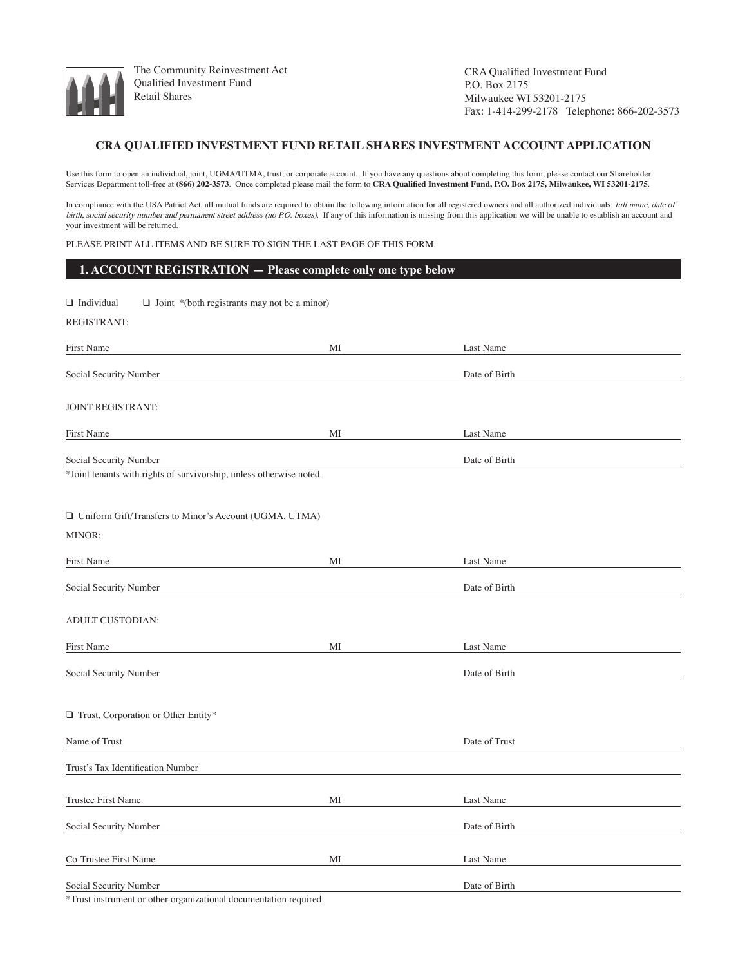

The Community Reinvestment Act Qualified Investment Fund Retail Shares

CRA Qualified Investment Fund P.O. Box 2175 Milwaukee WI 53201-2175 Fax: 1-414-299-2178 Telephone: 866-202-3573

### **CRA QUALIFIED INVESTMENT FUND RETAIL SHARES INVESTMENT ACCOUNT APPLICATION**

Use this form to open an individual, joint, UGMA/UTMA, trust, or corporate account. If you have any questions about completing this form, please contact our Shareholder Services Department toll-free at **(866) 202-3573**. Once completed please mail the form to **CRA Qualified Investment Fund, P.O. Box 2175, Milwaukee, WI 53201-2175**.

In compliance with the USA Patriot Act, all mutual funds are required to obtain the following information for all registered owners and all authorized individuals: full name, date of birth, social security number and permanent street address (no P.O. boxes). If any of this information is missing from this application we will be unable to establish an account and your investment will be returned.

Please print all items and be sure to sign the last page of this form.

| 1. ACCOUNT REGISTRATION - Please complete only one type below                                 |    |               |  |
|-----------------------------------------------------------------------------------------------|----|---------------|--|
| $\Box$ Individual<br>$\Box$ Joint *(both registrants may not be a minor)                      |    |               |  |
| REGISTRANT:                                                                                   |    |               |  |
| <b>First Name</b>                                                                             | МI | Last Name     |  |
| Social Security Number                                                                        |    | Date of Birth |  |
| <b>JOINT REGISTRANT:</b>                                                                      |    |               |  |
| <b>First Name</b>                                                                             | МI | Last Name     |  |
| Social Security Number<br>*Joint tenants with rights of survivorship, unless otherwise noted. |    | Date of Birth |  |
| □ Uniform Gift/Transfers to Minor's Account (UGMA, UTMA)<br>MINOR:                            |    |               |  |
| First Name                                                                                    | МI | Last Name     |  |
| Social Security Number                                                                        |    | Date of Birth |  |
| ADULT CUSTODIAN:                                                                              |    |               |  |
| First Name                                                                                    | МI | Last Name     |  |
| Social Security Number                                                                        |    | Date of Birth |  |
| Trust, Corporation or Other Entity*                                                           |    |               |  |
| Name of Trust                                                                                 |    | Date of Trust |  |
| Trust's Tax Identification Number                                                             |    |               |  |
| Trustee First Name                                                                            | МI | Last Name     |  |
| Social Security Number                                                                        |    | Date of Birth |  |
| Co-Trustee First Name                                                                         | MI | Last Name     |  |
| Social Security Number                                                                        |    | Date of Birth |  |

Trust instrument or other organizational documentation required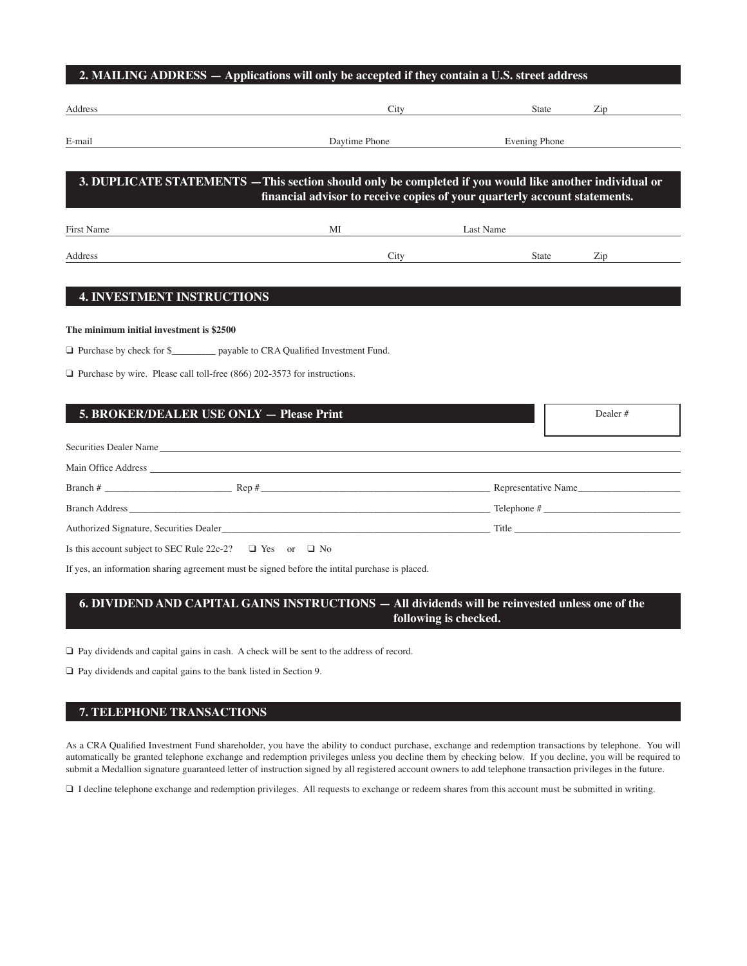| Address    | City                                                                                                    | <b>State</b>     | Zip |
|------------|---------------------------------------------------------------------------------------------------------|------------------|-----|
| E-mail     | Daytime Phone                                                                                           | Evening Phone    |     |
|            |                                                                                                         |                  |     |
|            |                                                                                                         |                  |     |
|            | 3. DUPLICATE STATEMENTS — This section should only be completed if you would like another individual or |                  |     |
|            | financial advisor to receive copies of your quarterly account statements.                               |                  |     |
|            | MI                                                                                                      | <b>Last Name</b> |     |
| First Name |                                                                                                         |                  |     |

### **The minimum initial investment is \$2500**

□ Purchase by check for \$\_\_\_\_\_\_\_\_\_\_ payable to CRA Qualified Investment Fund.

 $\Box$  Purchase by wire. Please call toll-free (866) 202-3573 for instructions.

| 5. BROKER/DEALER USE ONLY - Please Print                           | Dealer $#$ |
|--------------------------------------------------------------------|------------|
|                                                                    |            |
| Securities Dealer Name                                             |            |
|                                                                    |            |
| Branch $\#$ Representative Name                                    |            |
| Branch Address Telephone #                                         |            |
| Authorized Signature, Securities Dealer                            |            |
| Is this account subject to SEC Rule 22c-2? $\Box$ Yes or $\Box$ No |            |

If yes, an information sharing agreement must be signed before the intital purchase is placed.

# **6. DIVIDEND AND CAPITAL GAINS INSTRUCTIONS — All dividends will be reinvested unless one of the following is checked.**

 $\Box$  Pay dividends and capital gains in cash. A check will be sent to the address of record.

 $\Box$  Pay dividends and capital gains to the bank listed in Section 9.

## **7. TELEPHONE TRANSACTIONS**

As a CRA Qualified Investment Fund shareholder, you have the ability to conduct purchase, exchange and redemption transactions by telephone. You will automatically be granted telephone exchange and redemption privileges unless you decline them by checking below. If you decline, you will be required to submit a Medallion signature guaranteed letter of instruction signed by all registered account owners to add telephone transaction privileges in the future.

□ I decline telephone exchange and redemption privileges. All requests to exchange or redeem shares from this account must be submitted in writing.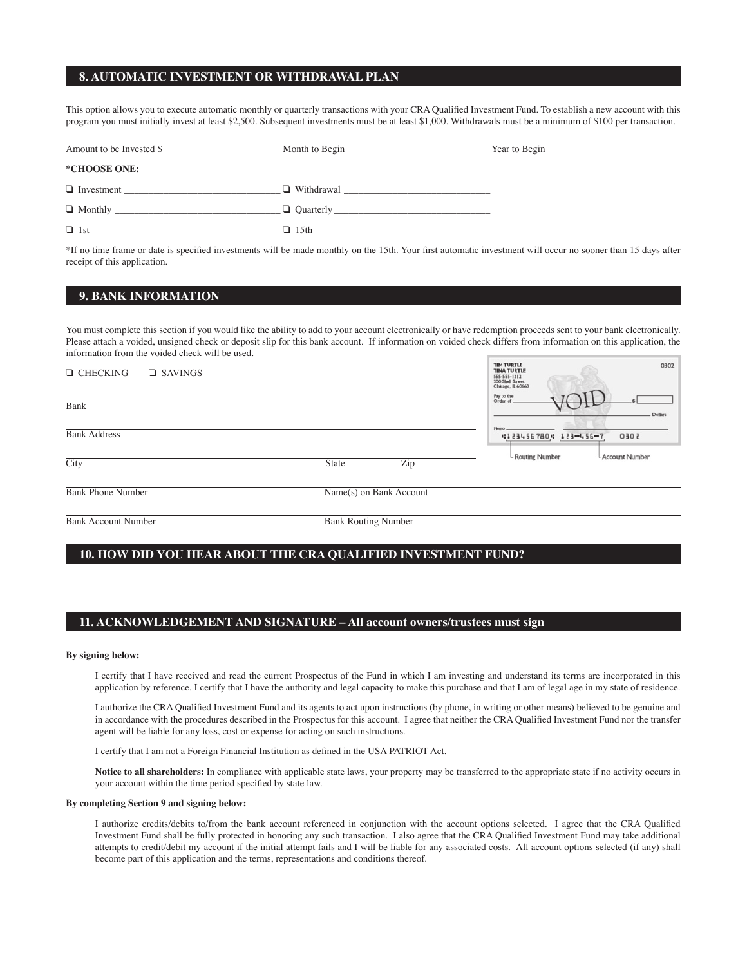### **8. AUTOMATIC INVESTMENT OR WITHDRAWAL PLAN**

This option allows you to execute automatic monthly or quarterly transactions with your CRA Qualified Investment Fund. To establish a new account with this program you must initially invest at least \$2,500. Subsequent investments must be at least \$1,000. Withdrawals must be a minimum of \$100 per transaction.

| Amount to be Invested \$ |             |  |
|--------------------------|-------------|--|
| *CHOOSE ONE:             |             |  |
| $\Box$ Investment        |             |  |
| $\Box$ Monthly           |             |  |
|                          | $\Box$ 15th |  |

\*If no time frame or date is specified investments will be made monthly on the 15th. Your first automatic investment will occur no sooner than 15 days after receipt of this application.

# **9. BANK INFORMATION**

You must complete this section if you would like the ability to add to your account electronically or have redemption proceeds sent to your bank electronically. Please attach a voided, unsigned check or deposit slip for this bank account. If information on voided check differs from information on this application, the information from the voided check will be used.  $1000$  $\sim$ 

| $\Box$ CHECKING<br>$\Box$ SAVINGS |                         | <b>IMPORTLE</b><br>0302<br><b>TINA TURTLE</b><br>555-555-1212<br>200 Shell Street<br>Chicago, IL 60660 |
|-----------------------------------|-------------------------|--------------------------------------------------------------------------------------------------------|
| Bank                              |                         | Pay to the<br>Order of<br>Dollars                                                                      |
| <b>Bank Address</b>               |                         | Mean<br>41234567804 123-456-7<br>2050                                                                  |
| City                              | Zip<br><b>State</b>     | - Routing Number<br>L Account Number                                                                   |
| <b>Bank Phone Number</b>          | Name(s) on Bank Account |                                                                                                        |

Bank Account Number Bank Routing Number

### **10. HOW DID YOU HEAR ABOUT THE CRA QUALIFIED INVESTMENT FUND?**

### **11. ACKNOWLEDGEMENT AND SIGNATURE – All account owners/trustees must sign**

#### **By signing below:**

I certify that I have received and read the current Prospectus of the Fund in which I am investing and understand its terms are incorporated in this application by reference. I certify that I have the authority and legal capacity to make this purchase and that I am of legal age in my state of residence.

I authorize the CRA Qualified Investment Fund and its agents to act upon instructions (by phone, in writing or other means) believed to be genuine and in accordance with the procedures described in the Prospectus for this account. I agree that neither the CRA Qualified Investment Fund nor the transfer agent will be liable for any loss, cost or expense for acting on such instructions.

I certify that I am not a Foreign Financial Institution as defined in the USA PATRIOT Act.

**Notice to all shareholders:** In compliance with applicable state laws, your property may be transferred to the appropriate state if no activity occurs in your account within the time period specified by state law.

#### **By completing Section 9 and signing below:**

I authorize credits/debits to/from the bank account referenced in conjunction with the account options selected. I agree that the CRA Qualified Investment Fund shall be fully protected in honoring any such transaction. I also agree that the CRA Qualified Investment Fund may take additional attempts to credit/debit my account if the initial attempt fails and I will be liable for any associated costs. All account options selected (if any) shall become part of this application and the terms, representations and conditions thereof.